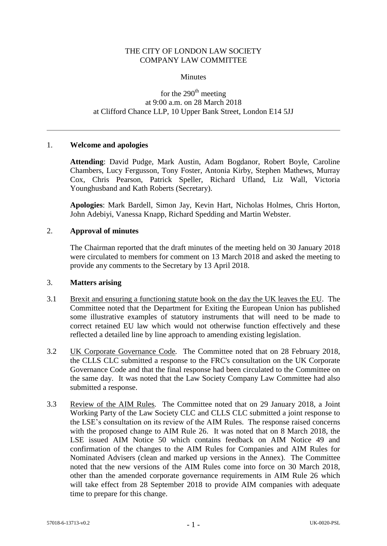## THE CITY OF LONDON LAW SOCIETY COMPANY LAW COMMITTEE

### **Minutes**

# for the  $290<sup>th</sup>$  meeting at 9:00 a.m. on 28 March 2018 at Clifford Chance LLP, 10 Upper Bank Street, London E14 5JJ

### 1. **Welcome and apologies**

**Attending**: David Pudge, Mark Austin, Adam Bogdanor, Robert Boyle, Caroline Chambers, Lucy Fergusson, Tony Foster, Antonia Kirby, Stephen Mathews, Murray Cox, Chris Pearson, Patrick Speller, Richard Ufland, Liz Wall, Victoria Younghusband and Kath Roberts (Secretary).

**Apologies**: Mark Bardell, Simon Jay, Kevin Hart, Nicholas Holmes, Chris Horton, John Adebiyi, Vanessa Knapp, Richard Spedding and Martin Webster.

### 2. **Approval of minutes**

The Chairman reported that the draft minutes of the meeting held on 30 January 2018 were circulated to members for comment on 13 March 2018 and asked the meeting to provide any comments to the Secretary by 13 April 2018.

#### 3. **Matters arising**

- 3.1 Brexit and ensuring a functioning statute book on the day the UK leaves the EU. The Committee noted that the Department for Exiting the European Union has published some illustrative examples of statutory instruments that will need to be made to correct retained EU law which would not otherwise function effectively and these reflected a detailed line by line approach to amending existing legislation.
- 3.2 UK Corporate Governance Code*.* The Committee noted that on 28 February 2018, the CLLS CLC submitted a response to the FRC's consultation on the UK Corporate Governance Code and that the final response had been circulated to the Committee on the same day. It was noted that the Law Society Company Law Committee had also submitted a response.
- 3.3 Review of the AIM Rules*.* The Committee noted that on 29 January 2018, a Joint Working Party of the Law Society CLC and CLLS CLC submitted a joint response to the LSE's consultation on its review of the AIM Rules. The response raised concerns with the proposed change to AIM Rule 26. It was noted that on 8 March 2018, the LSE issued AIM Notice 50 which contains feedback on AIM Notice 49 and confirmation of the changes to the AIM Rules for Companies and AIM Rules for Nominated Advisers (clean and marked up versions in the Annex). The Committee noted that the new versions of the AIM Rules come into force on 30 March 2018, other than the amended corporate governance requirements in AIM Rule 26 which will take effect from 28 September 2018 to provide AIM companies with adequate time to prepare for this change.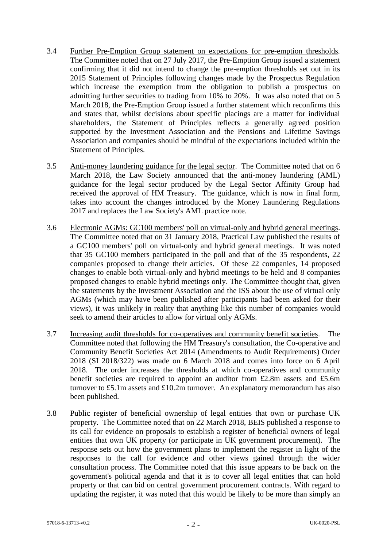- 3.4 Further Pre-Emption Group statement on expectations for pre-emption thresholds*.* The Committee noted that on 27 July 2017, the Pre-Emption Group issued a statement confirming that it did not intend to change the pre-emption thresholds set out in its 2015 Statement of Principles following changes made by the Prospectus Regulation which increase the exemption from the obligation to publish a prospectus on admitting further securities to trading from 10% to 20%. It was also noted that on 5 March 2018, the Pre-Emption Group issued a further statement which reconfirms this and states that, whilst decisions about specific placings are a matter for individual shareholders, the Statement of Principles reflects a generally agreed position supported by the Investment Association and the Pensions and Lifetime Savings Association and companies should be mindful of the expectations included within the Statement of Principles.
- 3.5 Anti-money laundering guidance for the legal sector. The Committee noted that on 6 March 2018, the Law Society announced that the anti-money laundering (AML) guidance for the legal sector produced by the Legal Sector Affinity Group had received the approval of HM Treasury. The guidance, which is now in final form, takes into account the changes introduced by the Money Laundering Regulations 2017 and replaces the Law Society's AML practice note.
- 3.6 Electronic AGMs: GC100 members' poll on virtual-only and hybrid general meetings. The Committee noted that on 31 January 2018, Practical Law published the results of a GC100 members' poll on virtual-only and hybrid general meetings. It was noted that 35 GC100 members participated in the poll and that of the 35 respondents, 22 companies proposed to change their articles. Of these 22 companies, 14 proposed changes to enable both virtual-only and hybrid meetings to be held and 8 companies proposed changes to enable hybrid meetings only. The Committee thought that, given the statements by the Investment Association and the ISS about the use of virtual only AGMs (which may have been published after participants had been asked for their views), it was unlikely in reality that anything like this number of companies would seek to amend their articles to allow for virtual only AGMs.
- 3.7 Increasing audit thresholds for co-operatives and community benefit societies. The Committee noted that following the HM Treasury's consultation, the Co-operative and Community Benefit Societies Act 2014 (Amendments to Audit Requirements) Order 2018 (SI 2018/322) was made on 6 March 2018 and comes into force on 6 April 2018. The order increases the thresholds at which co-operatives and community benefit societies are required to appoint an auditor from £2.8m assets and £5.6m turnover to £5.1m assets and £10.2m turnover. An explanatory memorandum has also been published.
- 3.8 Public register of beneficial ownership of legal entities that own or purchase UK property. The Committee noted that on 22 March 2018, BEIS published a response to its call for evidence on proposals to establish a register of beneficial owners of legal entities that own UK property (or participate in UK government procurement). The response sets out how the government plans to implement the register in light of the responses to the call for evidence and other views gained through the wider consultation process. The Committee noted that this issue appears to be back on the government's political agenda and that it is to cover all legal entities that can hold property or that can bid on central government procurement contracts. With regard to updating the register, it was noted that this would be likely to be more than simply an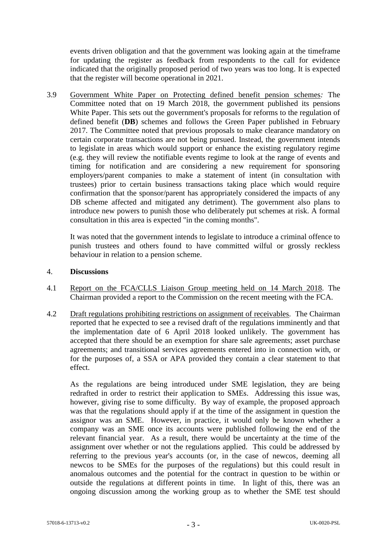events driven obligation and that the government was looking again at the timeframe for updating the register as feedback from respondents to the call for evidence indicated that the originally proposed period of two years was too long. It is expected that the register will become operational in 2021.

3.9 Government White Paper on Protecting defined benefit pension schemes*:* The Committee noted that on 19 March 2018, the government published its pensions White Paper. This sets out the government's proposals for reforms to the regulation of defined benefit (**DB**) schemes and follows the Green Paper published in February 2017. The Committee noted that previous proposals to make clearance mandatory on certain corporate transactions are not being pursued. Instead, the government intends to legislate in areas which would support or enhance the existing regulatory regime (e.g. they will review the notifiable events regime to look at the range of events and timing for notification and are considering a new requirement for sponsoring employers/parent companies to make a statement of intent (in consultation with trustees) prior to certain business transactions taking place which would require confirmation that the sponsor/parent has appropriately considered the impacts of any DB scheme affected and mitigated any detriment). The government also plans to introduce new powers to punish those who deliberately put schemes at risk. A formal consultation in this area is expected "in the coming months".

It was noted that the government intends to legislate to introduce a criminal offence to punish trustees and others found to have committed wilful or grossly reckless behaviour in relation to a pension scheme.

## 4. **Discussions**

- 4.1 Report on the FCA/CLLS Liaison Group meeting held on 14 March 2018*.* The Chairman provided a report to the Commission on the recent meeting with the FCA.
- 4.2 Draft regulations prohibiting restrictions on assignment of receivables*.* The Chairman reported that he expected to see a revised draft of the regulations imminently and that the implementation date of 6 April 2018 looked unlikely. The government has accepted that there should be an exemption for share sale agreements; asset purchase agreements; and transitional services agreements entered into in connection with, or for the purposes of, a SSA or APA provided they contain a clear statement to that effect.

As the regulations are being introduced under SME legislation, they are being redrafted in order to restrict their application to SMEs. Addressing this issue was, however, giving rise to some difficulty. By way of example, the proposed approach was that the regulations should apply if at the time of the assignment in question the assignor was an SME. However, in practice, it would only be known whether a company was an SME once its accounts were published following the end of the relevant financial year. As a result, there would be uncertainty at the time of the assignment over whether or not the regulations applied. This could be addressed by referring to the previous year's accounts (or, in the case of newcos, deeming all newcos to be SMEs for the purposes of the regulations) but this could result in anomalous outcomes and the potential for the contract in question to be within or outside the regulations at different points in time. In light of this, there was an ongoing discussion among the working group as to whether the SME test should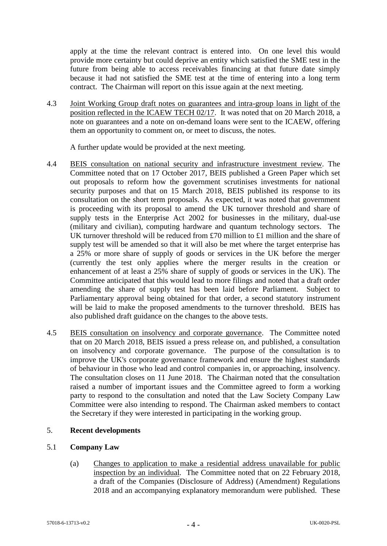apply at the time the relevant contract is entered into. On one level this would provide more certainty but could deprive an entity which satisfied the SME test in the future from being able to access receivables financing at that future date simply because it had not satisfied the SME test at the time of entering into a long term contract. The Chairman will report on this issue again at the next meeting.

4.3 Joint Working Group draft notes on guarantees and intra-group loans in light of the position reflected in the ICAEW TECH 02/17. It was noted that on 20 March 2018, a note on guarantees and a note on on-demand loans were sent to the ICAEW, offering them an opportunity to comment on, or meet to discuss, the notes.

A further update would be provided at the next meeting.

- 4.4 BEIS consultation on national security and infrastructure investment review*.* The Committee noted that on 17 October 2017, BEIS published a Green Paper which set out proposals to reform how the government scrutinises investments for national security purposes and that on 15 March 2018, BEIS published its response to its consultation on the short term proposals. As expected, it was noted that government is proceeding with its proposal to amend the UK turnover threshold and share of supply tests in the Enterprise Act 2002 for businesses in the military, dual-use (military and civilian), computing hardware and quantum technology sectors. The UK turnover threshold will be reduced from £70 million to £1 million and the share of supply test will be amended so that it will also be met where the target enterprise has a 25% or more share of supply of goods or services in the UK before the merger (currently the test only applies where the merger results in the creation or enhancement of at least a 25% share of supply of goods or services in the UK). The Committee anticipated that this would lead to more filings and noted that a draft order amending the share of supply test has been laid before Parliament. Subject to Parliamentary approval being obtained for that order, a second statutory instrument will be laid to make the proposed amendments to the turnover threshold. BEIS has also published draft guidance on the changes to the above tests.
- 4.5 BEIS consultation on insolvency and corporate governance. The Committee noted that on 20 March 2018, BEIS issued a press release on, and published, a consultation on insolvency and corporate governance. The purpose of the consultation is to improve the UK's corporate governance framework and ensure the highest standards of behaviour in those who lead and control companies in, or approaching, insolvency. The consultation closes on 11 June 2018. The Chairman noted that the consultation raised a number of important issues and the Committee agreed to form a working party to respond to the consultation and noted that the Law Society Company Law Committee were also intending to respond. The Chairman asked members to contact the Secretary if they were interested in participating in the working group.

# 5. **Recent developments**

# 5.1 **Company Law**

(a) Changes to application to make a residential address unavailable for public inspection by an individual*.* The Committee noted that on 22 February 2018, a draft of the Companies (Disclosure of Address) (Amendment) Regulations 2018 and an accompanying explanatory memorandum were published. These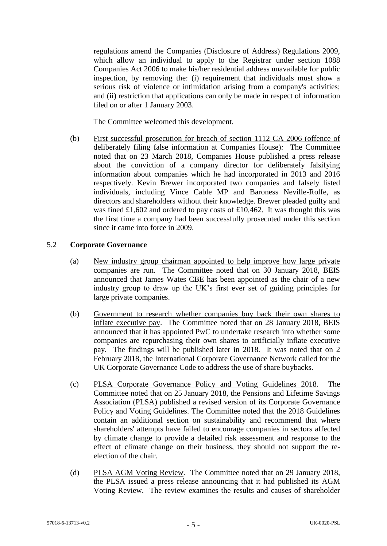regulations amend the Companies (Disclosure of Address) Regulations 2009, which allow an individual to apply to the Registrar under section 1088 Companies Act 2006 to make his/her residential address unavailable for public inspection, by removing the: (i) requirement that individuals must show a serious risk of violence or intimidation arising from a company's activities; and (ii) restriction that applications can only be made in respect of information filed on or after 1 January 2003.

The Committee welcomed this development.

(b) First successful prosecution for breach of section 1112 CA 2006 (offence of deliberately filing false information at Companies House)*:* The Committee noted that on 23 March 2018, Companies House published a press release about the conviction of a company director for deliberately falsifying information about companies which he had incorporated in 2013 and 2016 respectively. Kevin Brewer incorporated two companies and falsely listed individuals, including Vince Cable MP and Baroness Neville-Rolfe, as directors and shareholders without their knowledge. Brewer pleaded guilty and was fined £1,602 and ordered to pay costs of £10,462. It was thought this was the first time a company had been successfully prosecuted under this section since it came into force in 2009.

## 5.2 **Corporate Governance**

- (a) New industry group chairman appointed to help improve how large private companies are run*.* The Committee noted that on 30 January 2018, BEIS announced that James Wates CBE has been appointed as the chair of a new industry group to draw up the UK's first ever set of guiding principles for large private companies.
- (b) Government to research whether companies buy back their own shares to inflate executive pay. The Committee noted that on 28 January 2018, BEIS announced that it has appointed PwC to undertake research into whether some companies are repurchasing their own shares to artificially inflate executive pay. The findings will be published later in 2018. It was noted that on 2 February 2018, the International Corporate Governance Network called for the UK Corporate Governance Code to address the use of share buybacks.
- (c) PLSA Corporate Governance Policy and Voting Guidelines 2018. The Committee noted that on 25 January 2018, the Pensions and Lifetime Savings Association (PLSA) published a revised version of its Corporate Governance Policy and Voting Guidelines. The Committee noted that the 2018 Guidelines contain an additional section on sustainability and recommend that where shareholders' attempts have failed to encourage companies in sectors affected by climate change to provide a detailed risk assessment and response to the effect of climate change on their business, they should not support the reelection of the chair.
- (d) PLSA AGM Voting Review*.* The Committee noted that on 29 January 2018, the PLSA issued a press release announcing that it had published its AGM Voting Review. The review examines the results and causes of shareholder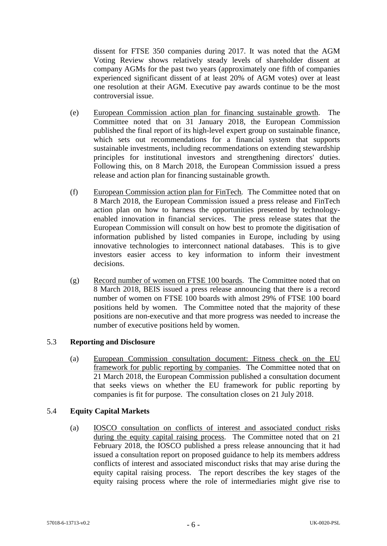dissent for FTSE 350 companies during 2017. It was noted that the AGM Voting Review shows relatively steady levels of shareholder dissent at company AGMs for the past two years (approximately one fifth of companies experienced significant dissent of at least 20% of AGM votes) over at least one resolution at their AGM. Executive pay awards continue to be the most controversial issue.

- (e) European Commission action plan for financing sustainable growth. The Committee noted that on 31 January 2018, the European Commission published the final report of its high-level expert group on sustainable finance, which sets out recommendations for a financial system that supports sustainable investments, including recommendations on extending stewardship principles for institutional investors and strengthening directors' duties. Following this, on 8 March 2018, the European Commission issued a press release and action plan for financing sustainable growth.
- (f) European Commission action plan for FinTech*.* The Committee noted that on 8 March 2018, the European Commission issued a press release and FinTech action plan on how to harness the opportunities presented by technologyenabled innovation in financial services. The press release states that the European Commission will consult on how best to promote the digitisation of information published by listed companies in Europe, including by using innovative technologies to interconnect national databases. This is to give investors easier access to key information to inform their investment decisions.
- (g) Record number of women on FTSE 100 boards. The Committee noted that on 8 March 2018, BEIS issued a press release announcing that there is a record number of women on FTSE 100 boards with almost 29% of FTSE 100 board positions held by women. The Committee noted that the majority of these positions are non-executive and that more progress was needed to increase the number of executive positions held by women.

# 5.3 **Reporting and Disclosure**

(a) European Commission consultation document: Fitness check on the EU framework for public reporting by companies. The Committee noted that on 21 March 2018, the European Commission published a consultation document that seeks views on whether the EU framework for public reporting by companies is fit for purpose. The consultation closes on 21 July 2018.

## 5.4 **Equity Capital Markets**

(a) IOSCO consultation on conflicts of interest and associated conduct risks during the equity capital raising process. The Committee noted that on 21 February 2018, the IOSCO published a press release announcing that it had issued a consultation report on proposed guidance to help its members address conflicts of interest and associated misconduct risks that may arise during the equity capital raising process. The report describes the key stages of the equity raising process where the role of intermediaries might give rise to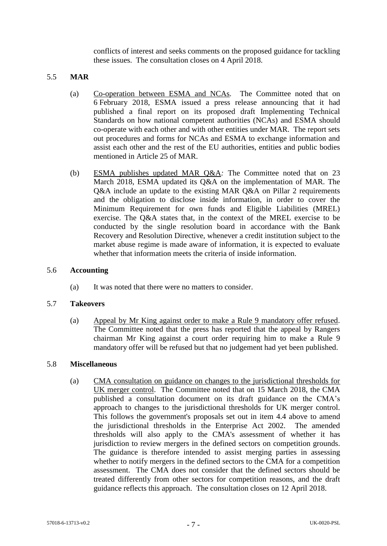conflicts of interest and seeks comments on the proposed guidance for tackling these issues. The consultation closes on 4 April 2018.

## 5.5 **MAR**

- (a) Co-operation between ESMA and NCAs*.* The Committee noted that on 6 February 2018, ESMA issued a press release announcing that it had published a final report on its proposed draft Implementing Technical Standards on how national competent authorities (NCAs) and ESMA should co-operate with each other and with other entities under MAR. The report sets out procedures and forms for NCAs and ESMA to exchange information and assist each other and the rest of the EU authorities, entities and public bodies mentioned in Article 25 of MAR.
- (b) ESMA publishes updated MAR Q&A*:* The Committee noted that on 23 March 2018, ESMA updated its Q&A on the implementation of MAR. The Q&A include an update to the existing MAR Q&A on Pillar 2 requirements and the obligation to disclose inside information, in order to cover the Minimum Requirement for own funds and Eligible Liabilities (MREL) exercise. The Q&A states that, in the context of the MREL exercise to be conducted by the single resolution board in accordance with the Bank Recovery and Resolution Directive, whenever a credit institution subject to the market abuse regime is made aware of information, it is expected to evaluate whether that information meets the criteria of inside information.

#### 5.6 **Accounting**

(a) It was noted that there were no matters to consider.

## 5.7 **Takeovers**

(a) Appeal by Mr King against order to make a Rule 9 mandatory offer refused. The Committee noted that the press has reported that the appeal by Rangers chairman Mr King against a court order requiring him to make a Rule 9 mandatory offer will be refused but that no judgement had yet been published.

## 5.8 **Miscellaneous**

(a) CMA consultation on guidance on changes to the jurisdictional thresholds for UK merger control. The Committee noted that on 15 March 2018, the CMA published a consultation document on its draft guidance on the CMA's approach to changes to the jurisdictional thresholds for UK merger control. This follows the government's proposals set out in item 4.4 above to amend the jurisdictional thresholds in the Enterprise Act 2002. The amended thresholds will also apply to the CMA's assessment of whether it has jurisdiction to review mergers in the defined sectors on competition grounds. The guidance is therefore intended to assist merging parties in assessing whether to notify mergers in the defined sectors to the CMA for a competition assessment. The CMA does not consider that the defined sectors should be treated differently from other sectors for competition reasons, and the draft guidance reflects this approach. The consultation closes on 12 April 2018.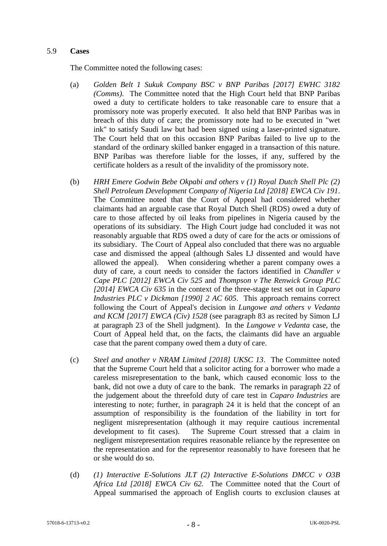## 5.9 **Cases**

The Committee noted the following cases:

- (a) *Golden Belt 1 Sukuk Company BSC v BNP Paribas [2017] EWHC 3182 (Comms).* The Committee noted that the High Court held that BNP Paribas owed a duty to certificate holders to take reasonable care to ensure that a promissory note was properly executed. It also held that BNP Paribas was in breach of this duty of care; the promissory note had to be executed in "wet ink" to satisfy Saudi law but had been signed using a laser-printed signature. The Court held that on this occasion BNP Paribas failed to live up to the standard of the ordinary skilled banker engaged in a transaction of this nature. BNP Paribas was therefore liable for the losses, if any, suffered by the certificate holders as a result of the invalidity of the promissory note.
- (b) *HRH Emere Godwin Bebe Okpabi and others v (1) Royal Dutch Shell Plc (2) Shell Petroleum Development Company of Nigeria Ltd [2018] EWCA Civ 191*. The Committee noted that the Court of Appeal had considered whether claimants had an arguable case that Royal Dutch Shell (RDS) owed a duty of care to those affected by oil leaks from pipelines in Nigeria caused by the operations of its subsidiary. The High Court judge had concluded it was not reasonably arguable that RDS owed a duty of care for the acts or omissions of its subsidiary. The Court of Appeal also concluded that there was no arguable case and dismissed the appeal (although Sales LJ dissented and would have allowed the appeal). When considering whether a parent company owes a duty of care, a court needs to consider the factors identified in *Chandler v Cape PLC [2012] EWCA Civ 525* and *Thompson v The Renwick Group PLC [2014] EWCA Civ 635* in the context of the three-stage test set out in *Caparo Industries PLC v Dickman [1990] 2 AC 605*. This approach remains correct following the Court of Appeal's decision in *Lungowe and others v Vedanta and KCM [2017] EWCA (Civ) 1528* (see paragraph 83 as recited by Simon LJ at paragraph 23 of the Shell judgment). In the *Lungowe v Vedanta* case, the Court of Appeal held that, on the facts, the claimants did have an arguable case that the parent company owed them a duty of care.
- (c) *Steel and another v NRAM Limited [2018] UKSC 13*. The Committee noted that the Supreme Court held that a solicitor acting for a borrower who made a careless misrepresentation to the bank, which caused economic loss to the bank, did not owe a duty of care to the bank. The remarks in paragraph 22 of the judgement about the threefold duty of care test in *Caparo Industries* are interesting to note; further, in paragraph 24 it is held that the concept of an assumption of responsibility is the foundation of the liability in tort for negligent misrepresentation (although it may require cautious incremental development to fit cases). The Supreme Court stressed that a claim in negligent misrepresentation requires reasonable reliance by the representee on the representation and for the representor reasonably to have foreseen that he or she would do so.
- (d) *(1) Interactive E-Solutions JLT (2) Interactive E-Solutions DMCC v O3B Africa Ltd [2018] EWCA Civ 62.* The Committee noted that the Court of Appeal summarised the approach of English courts to exclusion clauses at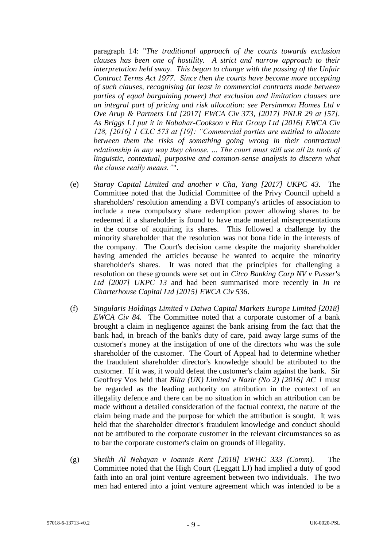paragraph 14: "*The traditional approach of the courts towards exclusion clauses has been one of hostility. A strict and narrow approach to their interpretation held sway. This began to change with the passing of the Unfair Contract Terms Act 1977. Since then the courts have become more accepting of such clauses, recognising (at least in commercial contracts made between parties of equal bargaining power) that exclusion and limitation clauses are an integral part of pricing and risk allocation: see Persimmon Homes Ltd v Ove Arup & Partners Ltd [2017] EWCA Civ 373, [2017] PNLR 29 at [57]. As Briggs LJ put it in Nobahar-Cookson v Hut Group Ltd [2016] EWCA Civ 128, [2016] 1 CLC 573 at [19]: "Commercial parties are entitled to allocate between them the risks of something going wrong in their contractual relationship in any way they choose. … The court must still use all its tools of linguistic, contextual, purposive and common-sense analysis to discern what the clause really means."*".

- (e) *Staray Capital Limited and another v Cha, Yang [2017] UKPC 43.* The Committee noted that the Judicial Committee of the Privy Council upheld a shareholders' resolution amending a BVI company's articles of association to include a new compulsory share redemption power allowing shares to be redeemed if a shareholder is found to have made material misrepresentations in the course of acquiring its shares. This followed a challenge by the minority shareholder that the resolution was not bona fide in the interests of the company. The Court's decision came despite the majority shareholder having amended the articles because he wanted to acquire the minority shareholder's shares. It was noted that the principles for challenging a resolution on these grounds were set out in *Citco Banking Corp NV v Pusser's Ltd [2007] UKPC 13* and had been summarised more recently in *In re Charterhouse Capital Ltd [2015] EWCA Civ 536*.
- (f) *Singularis Holdings Limited v Daiwa Capital Markets Europe Limited [2018] EWCA Civ 84.* The Committee noted that a corporate customer of a bank brought a claim in negligence against the bank arising from the fact that the bank had, in breach of the bank's duty of care, paid away large sums of the customer's money at the instigation of one of the directors who was the sole shareholder of the customer. The Court of Appeal had to determine whether the fraudulent shareholder director's knowledge should be attributed to the customer. If it was, it would defeat the customer's claim against the bank. Sir Geoffrey Vos held that *Bilta (UK) Limited v Nazir (No 2) [2016] AC 1* must be regarded as the leading authority on attribution in the context of an illegality defence and there can be no situation in which an attribution can be made without a detailed consideration of the factual context, the nature of the claim being made and the purpose for which the attribution is sought. It was held that the shareholder director's fraudulent knowledge and conduct should not be attributed to the corporate customer in the relevant circumstances so as to bar the corporate customer's claim on grounds of illegality.
- (g) *Sheikh Al Nehayan v Ioannis Kent [2018] EWHC 333 (Comm).* The Committee noted that the High Court (Leggatt LJ) had implied a duty of good faith into an oral joint venture agreement between two individuals. The two men had entered into a joint venture agreement which was intended to be a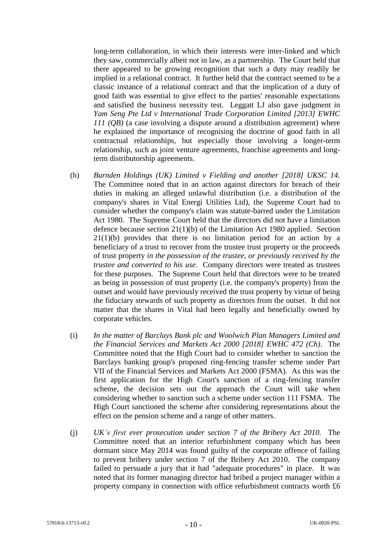long-term collaboration, in which their interests were inter-linked and which they saw, commercially albeit not in law, as a partnership. The Court held that there appeared to be growing recognition that such a duty may readily be implied in a relational contract. It further held that the contract seemed to be a classic instance of a relational contract and that the implication of a duty of good faith was essential to give effect to the parties' reasonable expectations and satisfied the business necessity test. Leggatt LJ also gave judgment in *Yam Seng Pte Ltd v International Trade Corporation Limited [2013] EWHC 111 (QB)* (a case involving a dispute around a distribution agreement) where he explained the importance of recognising the doctrine of good faith in all contractual relationships, but especially those involving a longer-term relationship, such as joint venture agreements, franchise agreements and longterm distributorship agreements.

- (h) *Burnden Holdings (UK) Limited v Fielding and another [2018] UKSC 14.* The Committee noted that in an action against directors for breach of their duties in making an alleged unlawful distribution (i.e. a distribution of the company's shares in Vital Energi Utilities Ltd), the Supreme Court had to consider whether the company's claim was statute-barred under the Limitation Act 1980. The Supreme Court held that the directors did not have a limitation defence because section 21(1)(b) of the Limitation Act 1980 applied. Section 21(1)(b) provides that there is no limitation period for an action by a beneficiary of a trust to recover from the trustee trust property or the proceeds of trust property *in the possession of the trustee, or previously received by the trustee and converted to his use*. Company directors were treated as trustees for these purposes. The Supreme Court held that directors were to be treated as being in possession of trust property (i.e. the company's property) from the outset and would have previously received the trust property by virtue of being the fiduciary stewards of such property as directors from the outset. It did not matter that the shares in Vital had been legally and beneficially owned by corporate vehicles.
- (i) *In the matter of Barclays Bank plc and Woolwich Plan Managers Limited and the Financial Services and Markets Act 2000 [2018] EWHC 472 (Ch)*. The Committee noted that the High Court had to consider whether to sanction the Barclays banking group's proposed ring-fencing transfer scheme under Part VII of the Financial Services and Markets Act 2000 (FSMA). As this was the first application for the High Court's sanction of a ring-fencing transfer scheme, the decision sets out the approach the Court will take when considering whether to sanction such a scheme under section 111 FSMA. The High Court sanctioned the scheme after considering representations about the effect on the pension scheme and a range of other matters.
- (j) *UK's first ever prosecution under section 7 of the Bribery Act 2010.* The Committee noted that an interior refurbishment company which has been dormant since May 2014 was found guilty of the corporate offence of failing to prevent bribery under section 7 of the Bribery Act 2010. The company failed to persuade a jury that it had "adequate procedures" in place. It was noted that its former managing director had bribed a project manager within a property company in connection with office refurbishment contracts worth £6